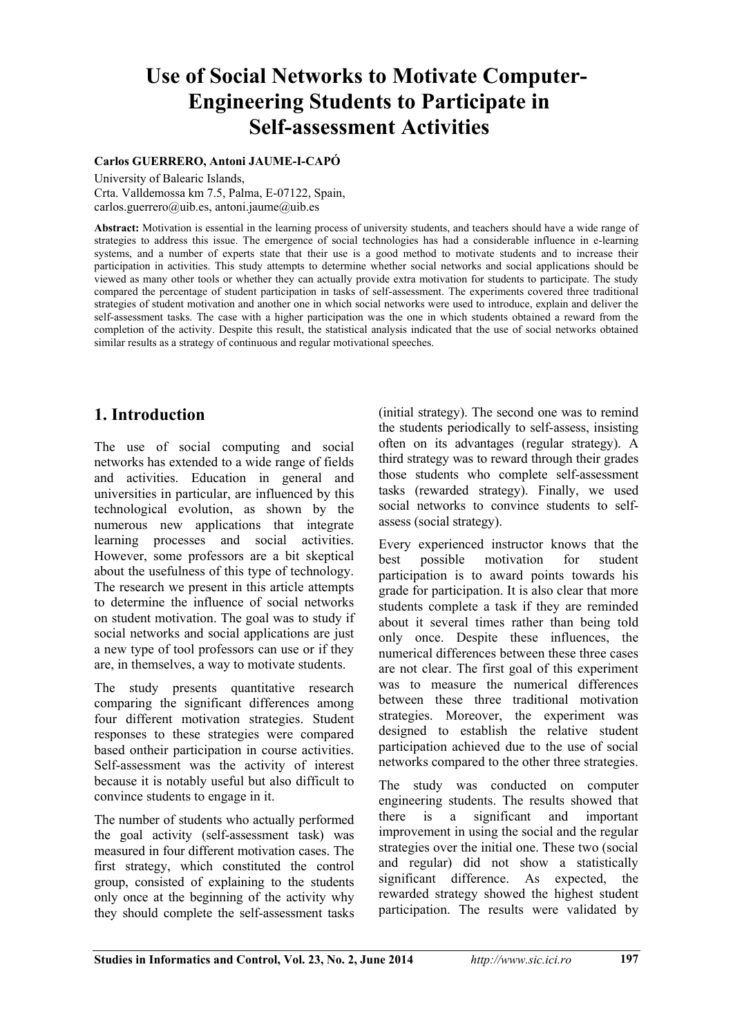# **Use of Social Networks to Motivate Computer-Engineering Students to Participate in Self-assessment Activities**

#### **Carlos GUERRERO, Antoni JAUME-I-CAPÓ**

University of Balearic Islands,

Crta. Valldemossa km 7.5, Palma, E-07122, Spain, carlos.guerrero@uib.es, antoni.jaume@uib.es

**Abstract:** Motivation is essential in the learning process of university students, and teachers should have a wide range of strategies to address this issue. The emergence of social technologies has had a considerable influence in e-learning systems, and a number of experts state that their use is a good method to motivate students and to increase their participation in activities. This study attempts to determine whether social networks and social applications should be viewed as many other tools or whether they can actually provide extra motivation for students to participate. The study compared the percentage of student participation in tasks of self-assessment. The experiments covered three traditional strategies of student motivation and another one in which social networks were used to introduce, explain and deliver the self-assessment tasks. The case with a higher participation was the one in which students obtained a reward from the completion of the activity. Despite this result, the statistical analysis indicated that the use of social networks obtained similar results as a strategy of continuous and regular motivational speeches.

### **1. Introduction**

The use of social computing and social networks has extended to a wide range of fields and activities. Education in general and universities in particular, are influenced by this technological evolution, as shown by the numerous new applications that integrate learning processes and social activities. However, some professors are a bit skeptical about the usefulness of this type of technology. The research we present in this article attempts to determine the influence of social networks on student motivation. The goal was to study if social networks and social applications are just a new type of tool professors can use or if they are, in themselves, a way to motivate students.

The study presents quantitative research comparing the significant differences among four different motivation strategies. Student responses to these strategies were compared based ontheir participation in course activities. Self-assessment was the activity of interest because it is notably useful but also difficult to convince students to engage in it.

The number of students who actually performed the goal activity (self-assessment task) was measured in four different motivation cases. The first strategy, which constituted the control group, consisted of explaining to the students only once at the beginning of the activity why they should complete the self-assessment tasks

(initial strategy). The second one was to remind the students periodically to self-assess, insisting often on its advantages (regular strategy). A third strategy was to reward through their grades those students who complete self-assessment tasks (rewarded strategy). Finally, we used social networks to convince students to selfassess (social strategy).

Every experienced instructor knows that the best possible motivation for student participation is to award points towards his grade for participation. It is also clear that more students complete a task if they are reminded about it several times rather than being told only once. Despite these influences, the numerical differences between these three cases are not clear. The first goal of this experiment was to measure the numerical differences between these three traditional motivation strategies. Moreover, the experiment was designed to establish the relative student participation achieved due to the use of social networks compared to the other three strategies.

The study was conducted on computer engineering students. The results showed that there is a significant and important improvement in using the social and the regular strategies over the initial one. These two (social and regular) did not show a statistically significant difference. As expected, the rewarded strategy showed the highest student participation. The results were validated by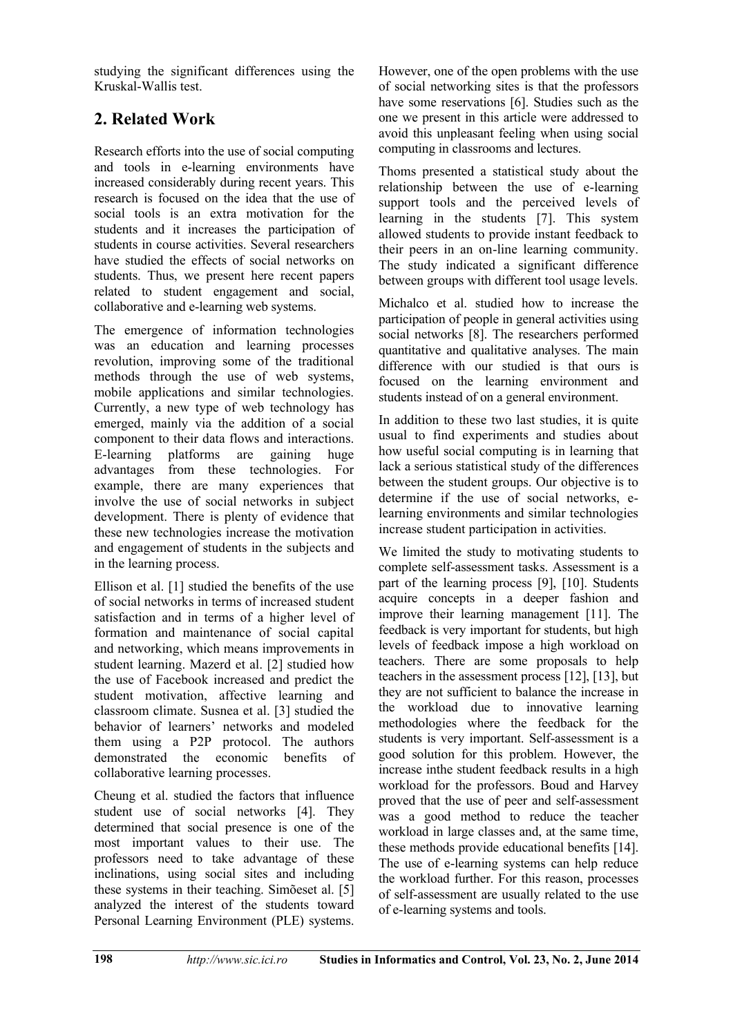studying the significant differences using the Kruskal-Wallis test.

## **2. Related Work**

Research efforts into the use of social computing and tools in e-learning environments have increased considerably during recent years. This research is focused on the idea that the use of social tools is an extra motivation for the students and it increases the participation of students in course activities. Several researchers have studied the effects of social networks on students. Thus, we present here recent papers related to student engagement and social, collaborative and e-learning web systems.

The emergence of information technologies was an education and learning processes revolution, improving some of the traditional methods through the use of web systems, mobile applications and similar technologies. Currently, a new type of web technology has emerged, mainly via the addition of a social component to their data flows and interactions. E-learning platforms are gaining huge advantages from these technologies. For example, there are many experiences that involve the use of social networks in subject development. There is plenty of evidence that these new technologies increase the motivation and engagement of students in the subjects and in the learning process.

Ellison et al. [1] studied the benefits of the use of social networks in terms of increased student satisfaction and in terms of a higher level of formation and maintenance of social capital and networking, which means improvements in student learning. Mazerd et al. [2] studied how the use of Facebook increased and predict the student motivation, affective learning and classroom climate. Susnea et al. [3] studied the behavior of learners' networks and modeled them using a P2P protocol. The authors demonstrated the economic benefits of collaborative learning processes.

Cheung et al. studied the factors that influence student use of social networks [4]. They determined that social presence is one of the most important values to their use. The professors need to take advantage of these inclinations, using social sites and including these systems in their teaching. Simõeset al. [5] analyzed the interest of the students toward Personal Learning Environment (PLE) systems.

However, one of the open problems with the use of social networking sites is that the professors have some reservations [6]. Studies such as the one we present in this article were addressed to avoid this unpleasant feeling when using social computing in classrooms and lectures.

Thoms presented a statistical study about the relationship between the use of e-learning support tools and the perceived levels of learning in the students [7]. This system allowed students to provide instant feedback to their peers in an on-line learning community. The study indicated a significant difference between groups with different tool usage levels.

Michalco et al. studied how to increase the participation of people in general activities using social networks [8]. The researchers performed quantitative and qualitative analyses. The main difference with our studied is that ours is focused on the learning environment and students instead of on a general environment.

In addition to these two last studies, it is quite usual to find experiments and studies about how useful social computing is in learning that lack a serious statistical study of the differences between the student groups. Our objective is to determine if the use of social networks, elearning environments and similar technologies increase student participation in activities.

We limited the study to motivating students to complete self-assessment tasks. Assessment is a part of the learning process [9], [10]. Students acquire concepts in a deeper fashion and improve their learning management [11]. The feedback is very important for students, but high levels of feedback impose a high workload on teachers. There are some proposals to help teachers in the assessment process [12], [13], but they are not sufficient to balance the increase in the workload due to innovative learning methodologies where the feedback for the students is very important. Self-assessment is a good solution for this problem. However, the increase inthe student feedback results in a high workload for the professors. Boud and Harvey proved that the use of peer and self-assessment was a good method to reduce the teacher workload in large classes and, at the same time, these methods provide educational benefits [14]. The use of e-learning systems can help reduce the workload further. For this reason, processes of self-assessment are usually related to the use of e-learning systems and tools.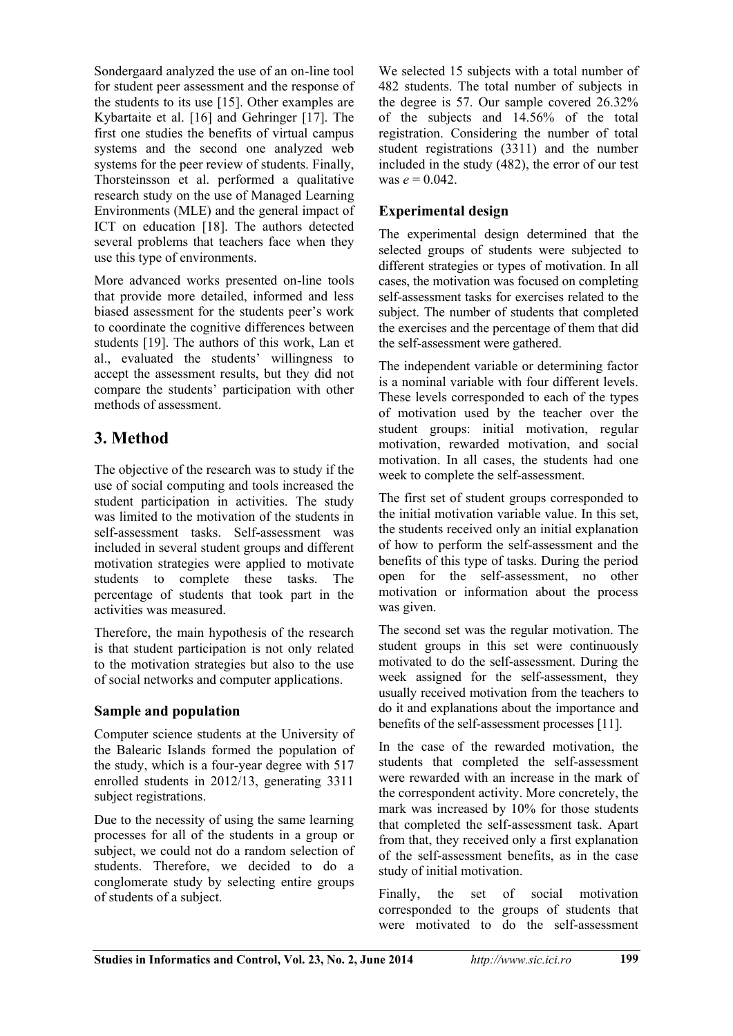Sondergaard analyzed the use of an on-line tool for student peer assessment and the response of the students to its use [15]. Other examples are Kybartaite et al. [16] and Gehringer [17]. The first one studies the benefits of virtual campus systems and the second one analyzed web systems for the peer review of students. Finally, Thorsteinsson et al. performed a qualitative research study on the use of Managed Learning Environments (MLE) and the general impact of ICT on education [18]. The authors detected several problems that teachers face when they use this type of environments.

More advanced works presented on-line tools that provide more detailed, informed and less biased assessment for the students peer's work to coordinate the cognitive differences between students [19]. The authors of this work, Lan et al., evaluated the students' willingness to accept the assessment results, but they did not compare the students' participation with other methods of assessment.

## **3. Method**

The objective of the research was to study if the use of social computing and tools increased the student participation in activities. The study was limited to the motivation of the students in self-assessment tasks. Self-assessment was included in several student groups and different motivation strategies were applied to motivate students to complete these tasks. The percentage of students that took part in the activities was measured.

Therefore, the main hypothesis of the research is that student participation is not only related to the motivation strategies but also to the use of social networks and computer applications.

#### **Sample and population**

Computer science students at the University of the Balearic Islands formed the population of the study, which is a four-year degree with 517 enrolled students in 2012/13, generating 3311 subject registrations.

Due to the necessity of using the same learning processes for all of the students in a group or subject, we could not do a random selection of students. Therefore, we decided to do a conglomerate study by selecting entire groups of students of a subject.

We selected 15 subjects with a total number of 482 students. The total number of subjects in the degree is 57. Our sample covered 26.32% of the subjects and 14.56% of the total registration. Considering the number of total student registrations (3311) and the number included in the study (482), the error of our test was  $e = 0.042$ .

#### **Experimental design**

The experimental design determined that the selected groups of students were subjected to different strategies or types of motivation. In all cases, the motivation was focused on completing self-assessment tasks for exercises related to the subject. The number of students that completed the exercises and the percentage of them that did the self-assessment were gathered.

The independent variable or determining factor is a nominal variable with four different levels. These levels corresponded to each of the types of motivation used by the teacher over the student groups: initial motivation, regular motivation, rewarded motivation, and social motivation. In all cases, the students had one week to complete the self-assessment.

The first set of student groups corresponded to the initial motivation variable value. In this set, the students received only an initial explanation of how to perform the self-assessment and the benefits of this type of tasks. During the period open for the self-assessment, no other motivation or information about the process was given.

The second set was the regular motivation. The student groups in this set were continuously motivated to do the self-assessment. During the week assigned for the self-assessment, they usually received motivation from the teachers to do it and explanations about the importance and benefits of the self-assessment processes [11].

In the case of the rewarded motivation, the students that completed the self-assessment were rewarded with an increase in the mark of the correspondent activity. More concretely, the mark was increased by 10% for those students that completed the self-assessment task. Apart from that, they received only a first explanation of the self-assessment benefits, as in the case study of initial motivation.

Finally, the set of social motivation corresponded to the groups of students that were motivated to do the self-assessment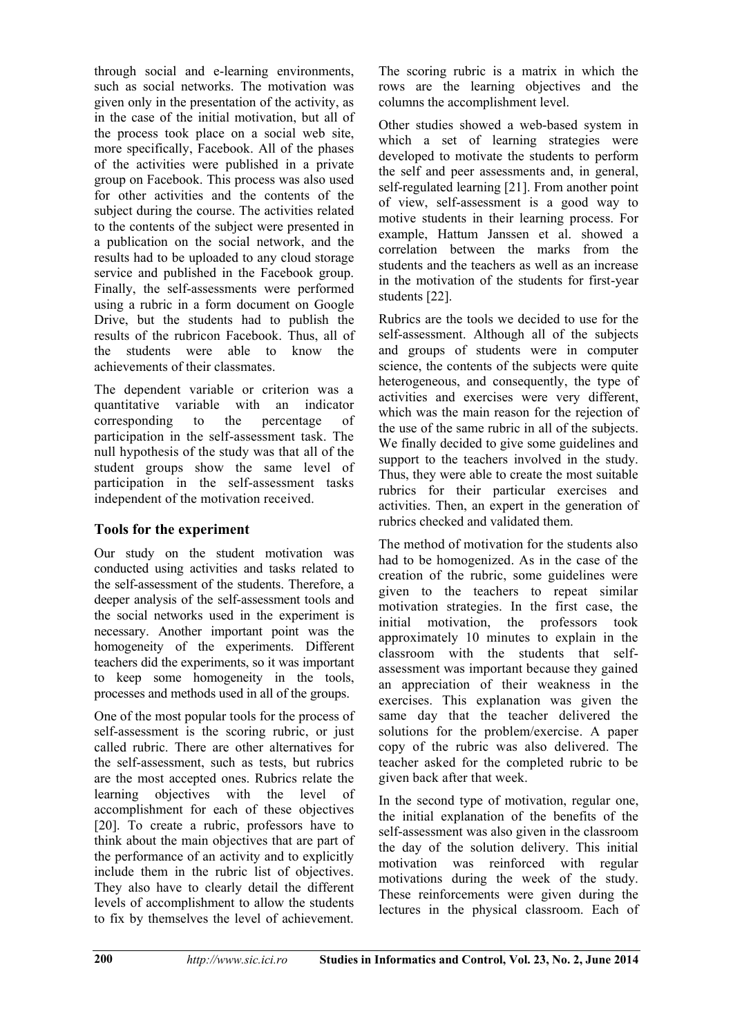through social and e-learning environments, such as social networks. The motivation was given only in the presentation of the activity, as in the case of the initial motivation, but all of the process took place on a social web site, more specifically, Facebook. All of the phases of the activities were published in a private group on Facebook. This process was also used for other activities and the contents of the subject during the course. The activities related to the contents of the subject were presented in a publication on the social network, and the results had to be uploaded to any cloud storage service and published in the Facebook group. Finally, the self-assessments were performed using a rubric in a form document on Google Drive, but the students had to publish the results of the rubricon Facebook. Thus, all of the students were able to know the achievements of their classmates.

The dependent variable or criterion was a quantitative variable with an indicator corresponding to the percentage of participation in the self-assessment task. The null hypothesis of the study was that all of the student groups show the same level of participation in the self-assessment tasks independent of the motivation received.

#### **Tools for the experiment**

Our study on the student motivation was conducted using activities and tasks related to the self-assessment of the students. Therefore, a deeper analysis of the self-assessment tools and the social networks used in the experiment is necessary. Another important point was the homogeneity of the experiments. Different teachers did the experiments, so it was important to keep some homogeneity in the tools, processes and methods used in all of the groups.

One of the most popular tools for the process of self-assessment is the scoring rubric, or just called rubric. There are other alternatives for the self-assessment, such as tests, but rubrics are the most accepted ones. Rubrics relate the learning objectives with the level of accomplishment for each of these objectives [20]. To create a rubric, professors have to think about the main objectives that are part of the performance of an activity and to explicitly include them in the rubric list of objectives. They also have to clearly detail the different levels of accomplishment to allow the students to fix by themselves the level of achievement.

The scoring rubric is a matrix in which the rows are the learning objectives and the columns the accomplishment level.

Other studies showed a web-based system in which a set of learning strategies were developed to motivate the students to perform the self and peer assessments and, in general, self-regulated learning [21]. From another point of view, self-assessment is a good way to motive students in their learning process. For example, Hattum Janssen et al. showed a correlation between the marks from the students and the teachers as well as an increase in the motivation of the students for first-year students [22].

Rubrics are the tools we decided to use for the self-assessment. Although all of the subjects and groups of students were in computer science, the contents of the subjects were quite heterogeneous, and consequently, the type of activities and exercises were very different, which was the main reason for the rejection of the use of the same rubric in all of the subjects. We finally decided to give some guidelines and support to the teachers involved in the study. Thus, they were able to create the most suitable rubrics for their particular exercises and activities. Then, an expert in the generation of rubrics checked and validated them.

The method of motivation for the students also had to be homogenized. As in the case of the creation of the rubric, some guidelines were given to the teachers to repeat similar motivation strategies. In the first case, the initial motivation, the professors took approximately 10 minutes to explain in the classroom with the students that selfassessment was important because they gained an appreciation of their weakness in the exercises. This explanation was given the same day that the teacher delivered the solutions for the problem/exercise. A paper copy of the rubric was also delivered. The teacher asked for the completed rubric to be given back after that week.

In the second type of motivation, regular one, the initial explanation of the benefits of the self-assessment was also given in the classroom the day of the solution delivery. This initial motivation was reinforced with regular motivations during the week of the study. These reinforcements were given during the lectures in the physical classroom. Each of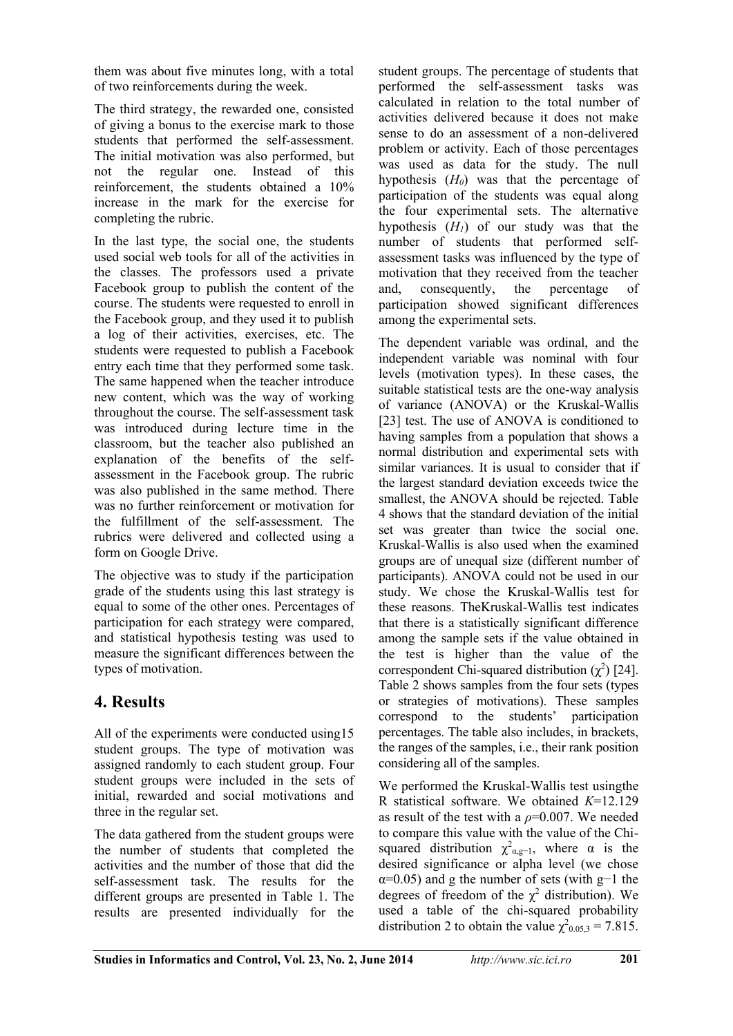them was about five minutes long, with a total of two reinforcements during the week.

The third strategy, the rewarded one, consisted of giving a bonus to the exercise mark to those students that performed the self-assessment. The initial motivation was also performed, but not the regular one. Instead of this reinforcement, the students obtained a 10% increase in the mark for the exercise for completing the rubric.

In the last type, the social one, the students used social web tools for all of the activities in the classes. The professors used a private Facebook group to publish the content of the course. The students were requested to enroll in the Facebook group, and they used it to publish a log of their activities, exercises, etc. The students were requested to publish a Facebook entry each time that they performed some task. The same happened when the teacher introduce new content, which was the way of working throughout the course. The self-assessment task was introduced during lecture time in the classroom, but the teacher also published an explanation of the benefits of the selfassessment in the Facebook group. The rubric was also published in the same method. There was no further reinforcement or motivation for the fulfillment of the self-assessment. The rubrics were delivered and collected using a form on Google Drive.

The objective was to study if the participation grade of the students using this last strategy is equal to some of the other ones. Percentages of participation for each strategy were compared, and statistical hypothesis testing was used to measure the significant differences between the types of motivation.

## **4. Results**

All of the experiments were conducted using15 student groups. The type of motivation was assigned randomly to each student group. Four student groups were included in the sets of initial, rewarded and social motivations and three in the regular set.

The data gathered from the student groups were the number of students that completed the activities and the number of those that did the self-assessment task. The results for the different groups are presented in Table 1. The results are presented individually for the

student groups. The percentage of students that performed the self-assessment tasks was calculated in relation to the total number of activities delivered because it does not make sense to do an assessment of a non-delivered problem or activity. Each of those percentages was used as data for the study. The null hypothesis (*H0*) was that the percentage of participation of the students was equal along the four experimental sets. The alternative hypothesis  $(H<sub>1</sub>)$  of our study was that the number of students that performed selfassessment tasks was influenced by the type of motivation that they received from the teacher and, consequently, the percentage of participation showed significant differences among the experimental sets.

The dependent variable was ordinal, and the independent variable was nominal with four levels (motivation types). In these cases, the suitable statistical tests are the one-way analysis of variance (ANOVA) or the Kruskal-Wallis [23] test. The use of ANOVA is conditioned to having samples from a population that shows a normal distribution and experimental sets with similar variances. It is usual to consider that if the largest standard deviation exceeds twice the smallest, the ANOVA should be rejected. Table 4 shows that the standard deviation of the initial set was greater than twice the social one. Kruskal-Wallis is also used when the examined groups are of unequal size (different number of participants). ANOVA could not be used in our study. We chose the Kruskal-Wallis test for these reasons. TheKruskal-Wallis test indicates that there is a statistically significant difference among the sample sets if the value obtained in the test is higher than the value of the correspondent Chi-squared distribution  $(\chi^2)$  [24]. Table 2 shows samples from the four sets (types or strategies of motivations). These samples correspond to the students' participation percentages. The table also includes, in brackets, the ranges of the samples, i.e., their rank position considering all of the samples.

We performed the Kruskal-Wallis test usingthe R statistical software. We obtained *K*=12.129 as result of the test with a  $\rho$ =0.007. We needed to compare this value with the value of the Chisquared distribution  $\chi^2_{\alpha, g-1}$ , where  $\alpha$  is the desired significance or alpha level (we chose  $\alpha$ =0.05) and g the number of sets (with g−1 the degrees of freedom of the  $\chi^2$  distribution). We used a table of the chi-squared probability distribution 2 to obtain the value  $\chi^2_{0.05,3} = 7.815$ .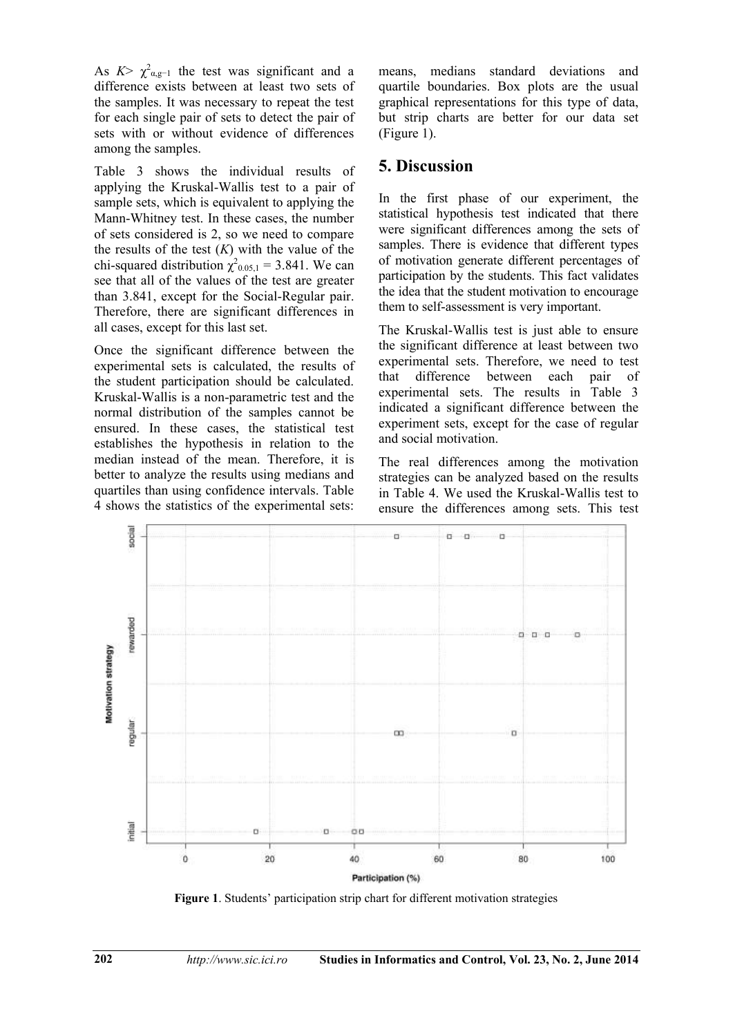As  $K > \chi^2_{\alpha, g-1}$  the test was significant and a difference exists between at least two sets of the samples. It was necessary to repeat the test for each single pair of sets to detect the pair of sets with or without evidence of differences among the samples.

Table 3 shows the individual results of applying the Kruskal-Wallis test to a pair of sample sets, which is equivalent to applying the Mann-Whitney test. In these cases, the number of sets considered is 2, so we need to compare the results of the test  $(K)$  with the value of the chi-squared distribution  $\chi^2$ <sub>0.05,1</sub> = 3.841. We can see that all of the values of the test are greater than 3.841, except for the Social-Regular pair. Therefore, there are significant differences in all cases, except for this last set.

Once the significant difference between the experimental sets is calculated, the results of the student participation should be calculated. Kruskal-Wallis is a non-parametric test and the normal distribution of the samples cannot be ensured. In these cases, the statistical test establishes the hypothesis in relation to the median instead of the mean. Therefore, it is better to analyze the results using medians and quartiles than using confidence intervals. Table 4 shows the statistics of the experimental sets:

means, medians standard deviations and quartile boundaries. Box plots are the usual graphical representations for this type of data, but strip charts are better for our data set (Figure 1).

### **5. Discussion**

In the first phase of our experiment, the statistical hypothesis test indicated that there were significant differences among the sets of samples. There is evidence that different types of motivation generate different percentages of participation by the students. This fact validates the idea that the student motivation to encourage them to self-assessment is very important.

The Kruskal-Wallis test is just able to ensure the significant difference at least between two experimental sets. Therefore, we need to test that difference between each pair of experimental sets. The results in Table 3 indicated a significant difference between the experiment sets, except for the case of regular and social motivation.

The real differences among the motivation strategies can be analyzed based on the results in Table 4. We used the Kruskal-Wallis test to ensure the differences among sets. This test



**Figure 1**. Students' participation strip chart for different motivation strategies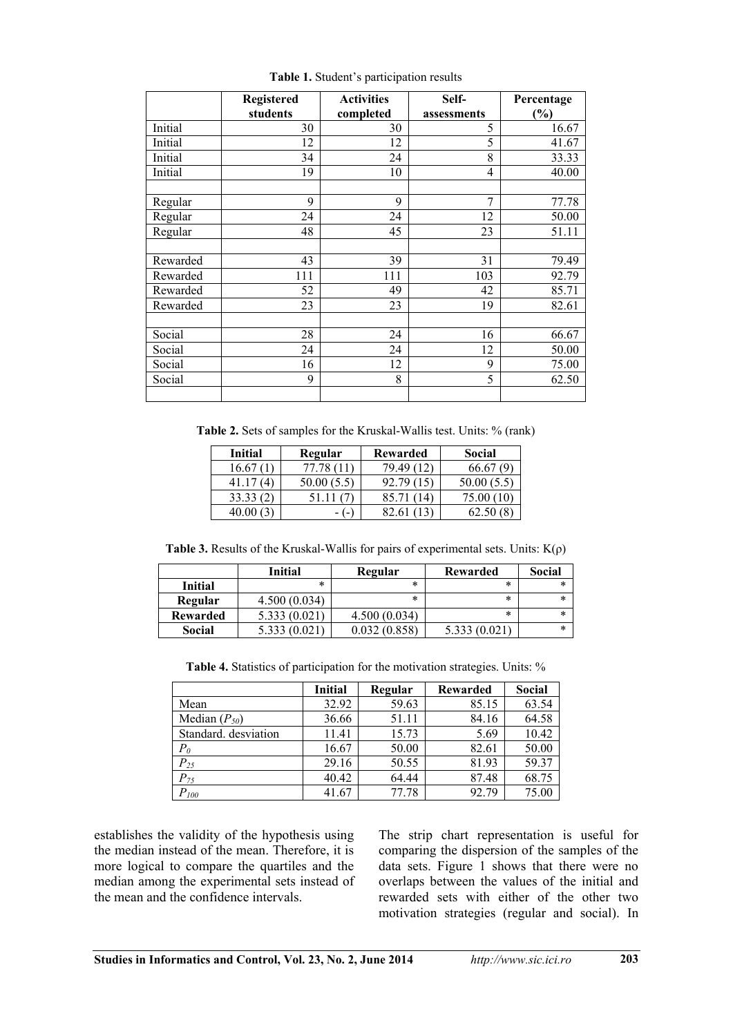|          | Registered | <b>Activities</b> | Self-       | Percentage |
|----------|------------|-------------------|-------------|------------|
|          | students   | completed         | assessments | (%)        |
| Initial  | 30         | 30                | 5           | 16.67      |
| Initial  | 12         | 12                | 5           | 41.67      |
| Initial  | 34         | 24                | 8           | 33.33      |
| Initial  | 19         | 10                | 4           | 40.00      |
| Regular  | 9          | 9                 | 7           | 77.78      |
| Regular  | 24         | 24                | 12          | 50.00      |
| Regular  | 48         | 45                | 23          | 51.11      |
| Rewarded | 43         | 39                | 31          | 79.49      |
| Rewarded | 111        | 111               | 103         | 92.79      |
| Rewarded | 52         | 49                | 42          | 85.71      |
| Rewarded | 23         | 23                | 19          | 82.61      |
| Social   | 28         | 24                | 16          | 66.67      |
| Social   | 24         | 24                | 12          | 50.00      |
| Social   | 16         | 12                | 9           | 75.00      |
| Social   | 9          | 8                 | 5           | 62.50      |

**Table 1.** Student's participation results

**Table 2.** Sets of samples for the Kruskal-Wallis test. Units: % (rank)

| <b>Initial</b> | Regular | Rewarded | <b>Social</b>             |
|----------------|---------|----------|---------------------------|
| 16.67          | 77.78   | 79.49    | 66.67                     |
| 41 I           | 50.00(  | 92.79    | 50.00 <sub>0</sub><br>5.5 |
| 33.33          |         | 85.71    | 75.00                     |
|                |         |          |                           |

**Table 3.** Results of the Kruskal-Wallis for pairs of experimental sets. Units:  $K(\rho)$ 

|                 | <b>Initial</b> | Regular      | Rewarded     | Social |
|-----------------|----------------|--------------|--------------|--------|
| Initial         | *              | *            | *            | *      |
| Regular         | 4.500(0.034)   | *            | *            | *      |
| <b>Rewarded</b> | 5.333 (0.021)  | 4.500(0.034) | *            | *      |
| Social          |                | 0.032(0.858) | 5.333 (0.021 | $\ast$ |

**Table 4.** Statistics of participation for the motivation strategies. Units: %

|                      | <b>Initial</b> | Regular | Rewarded | Social |
|----------------------|----------------|---------|----------|--------|
| Mean                 | 32.92          | 59.63   | 85.15    | 63.54  |
| Median $(P_{50})$    | 36.66          | 51.11   | 84.16    | 64.58  |
| Standard, desviation | 11.41          | 15.73   | 5.69     | 10.42  |
| $P_{0}$              | 16.67          | 50.00   | 82.61    | 50.00  |
| $P_{25}$             | 29.16          | 50.55   | 81.93    | 59.37  |
| $P_{75}$             | 40.42          | 64.44   | 87.48    | 68.75  |
| $P_{\it 100}$        | 41.67          | 77.78   | 92.79    | 75.00  |

establishes the validity of the hypothesis using the median instead of the mean. Therefore, it is more logical to compare the quartiles and the median among the experimental sets instead of the mean and the confidence intervals.

The strip chart representation is useful for comparing the dispersion of the samples of the data sets. Figure 1 shows that there were no overlaps between the values of the initial and rewarded sets with either of the other two motivation strategies (regular and social). In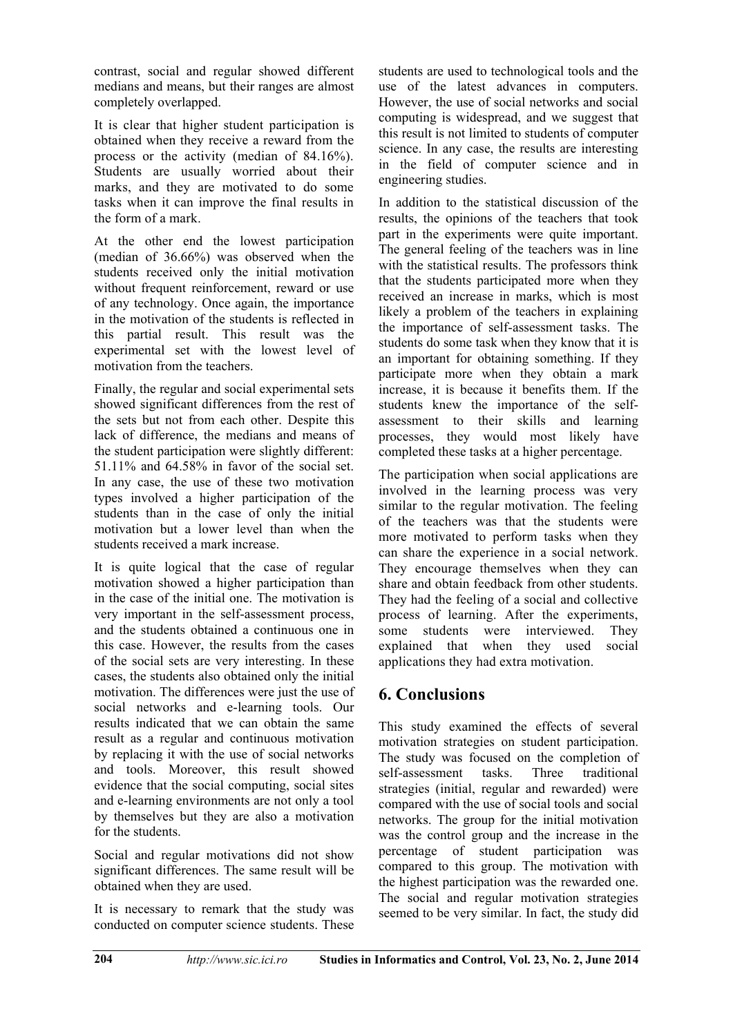contrast, social and regular showed different medians and means, but their ranges are almost completely overlapped.

It is clear that higher student participation is obtained when they receive a reward from the process or the activity (median of 84.16%). Students are usually worried about their marks, and they are motivated to do some tasks when it can improve the final results in the form of a mark.

At the other end the lowest participation (median of 36.66%) was observed when the students received only the initial motivation without frequent reinforcement, reward or use of any technology. Once again, the importance in the motivation of the students is reflected in this partial result. This result was the experimental set with the lowest level of motivation from the teachers.

Finally, the regular and social experimental sets showed significant differences from the rest of the sets but not from each other. Despite this lack of difference, the medians and means of the student participation were slightly different: 51.11% and 64.58% in favor of the social set. In any case, the use of these two motivation types involved a higher participation of the students than in the case of only the initial motivation but a lower level than when the students received a mark increase.

It is quite logical that the case of regular motivation showed a higher participation than in the case of the initial one. The motivation is very important in the self-assessment process, and the students obtained a continuous one in this case. However, the results from the cases of the social sets are very interesting. In these cases, the students also obtained only the initial motivation. The differences were just the use of social networks and e-learning tools. Our results indicated that we can obtain the same result as a regular and continuous motivation by replacing it with the use of social networks and tools. Moreover, this result showed evidence that the social computing, social sites and e-learning environments are not only a tool by themselves but they are also a motivation for the students.

Social and regular motivations did not show significant differences. The same result will be obtained when they are used.

It is necessary to remark that the study was conducted on computer science students. These

students are used to technological tools and the use of the latest advances in computers. However, the use of social networks and social computing is widespread, and we suggest that this result is not limited to students of computer science. In any case, the results are interesting in the field of computer science and in engineering studies.

In addition to the statistical discussion of the results, the opinions of the teachers that took part in the experiments were quite important. The general feeling of the teachers was in line with the statistical results. The professors think that the students participated more when they received an increase in marks, which is most likely a problem of the teachers in explaining the importance of self-assessment tasks. The students do some task when they know that it is an important for obtaining something. If they participate more when they obtain a mark increase, it is because it benefits them. If the students knew the importance of the selfassessment to their skills and learning processes, they would most likely have completed these tasks at a higher percentage.

The participation when social applications are involved in the learning process was very similar to the regular motivation. The feeling of the teachers was that the students were more motivated to perform tasks when they can share the experience in a social network. They encourage themselves when they can share and obtain feedback from other students. They had the feeling of a social and collective process of learning. After the experiments, some students were interviewed. They explained that when they used social applications they had extra motivation.

#### **6. Conclusions**

This study examined the effects of several motivation strategies on student participation. The study was focused on the completion of self-assessment tasks. Three traditional strategies (initial, regular and rewarded) were compared with the use of social tools and social networks. The group for the initial motivation was the control group and the increase in the percentage of student participation was compared to this group. The motivation with the highest participation was the rewarded one. The social and regular motivation strategies seemed to be very similar. In fact, the study did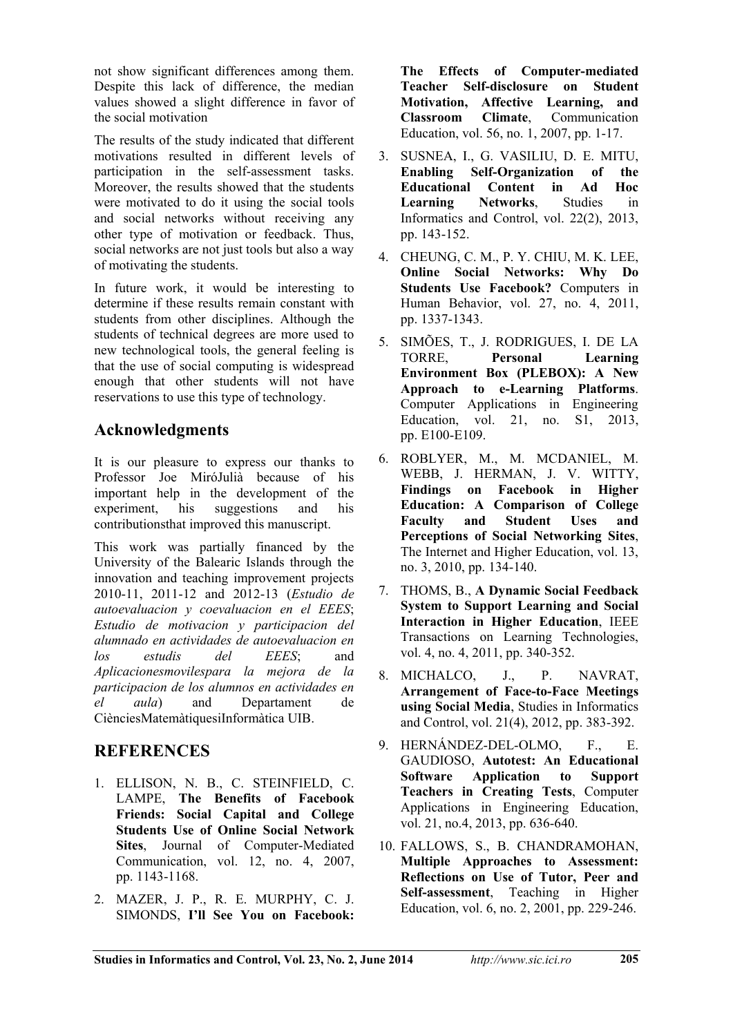not show significant differences among them. Despite this lack of difference, the median values showed a slight difference in favor of the social motivation

The results of the study indicated that different motivations resulted in different levels of participation in the self-assessment tasks. Moreover, the results showed that the students were motivated to do it using the social tools and social networks without receiving any other type of motivation or feedback. Thus, social networks are not just tools but also a way of motivating the students.

In future work, it would be interesting to determine if these results remain constant with students from other disciplines. Although the students of technical degrees are more used to new technological tools, the general feeling is that the use of social computing is widespread enough that other students will not have reservations to use this type of technology.

## **Acknowledgments**

It is our pleasure to express our thanks to Professor Joe MiróJulià because of his important help in the development of the experiment, his suggestions and his contributionsthat improved this manuscript.

This work was partially financed by the University of the Balearic Islands through the innovation and teaching improvement projects 2010-11, 2011-12 and 2012-13 (*Estudio de autoevaluacion y coevaluacion en el EEES*; *Estudio de motivacion y participacion del alumnado en actividades de autoevaluacion en los estudis del EEES*; and *Aplicacionesmovilespara la mejora de la participacion de los alumnos en actividades en el aula*) and Departament de CiènciesMatemàtiquesiInformàtica UIB.

## **REFERENCES**

- 1. ELLISON, N. B., C. STEINFIELD, C. LAMPE, **The Benefits of Facebook Friends: Social Capital and College Students Use of Online Social Network Sites**, Journal of Computer-Mediated Communication, vol. 12, no. 4, 2007, pp. 1143-1168.
- 2. MAZER, J. P., R. E. MURPHY, C. J. SIMONDS, **I'll See You on Facebook:**

**The Effects of Computer-mediated Teacher Self-disclosure on Student Motivation, Affective Learning, and Classroom Climate**, Communication Education, vol. 56, no. 1, 2007, pp. 1-17.

- 3. SUSNEA, I., G. VASILIU, D. E. MITU, **Enabling Self-Organization of the Educational Content in Ad Hoc Learning Networks**, Studies in Informatics and Control, vol. 22(2), 2013, pp. 143-152.
- 4. CHEUNG, C. M., P. Y. CHIU, M. K. LEE, **Online Social Networks: Why Do Students Use Facebook?** Computers in Human Behavior, vol. 27, no. 4, 2011, pp. 1337-1343.
- 5. SIMÕES, T., J. RODRIGUES, I. DE LA TORRE, **Personal Learning Environment Box (PLEBOX): A New Approach to e-Learning Platforms**. Computer Applications in Engineering Education, vol. 21, no. S1, 2013, pp. E100-E109.
- 6. ROBLYER, M., M. MCDANIEL, M. WEBB, J. HERMAN, J. V. WITTY, **Findings on Facebook in Higher Education: A Comparison of College Faculty and Student Uses and Perceptions of Social Networking Sites**, The Internet and Higher Education, vol. 13, no. 3, 2010, pp. 134-140.
- 7. THOMS, B., **A Dynamic Social Feedback System to Support Learning and Social Interaction in Higher Education**, IEEE Transactions on Learning Technologies, vol. 4, no. 4, 2011, pp. 340-352.
- 8. MICHALCO, J., P. NAVRAT, **Arrangement of Face-to-Face Meetings using Social Media**, Studies in Informatics and Control, vol. 21(4), 2012, pp. 383-392.
- 9. HERNÁNDEZ-DEL-OLMO, F., E. GAUDIOSO, **Autotest: An Educational Software Application to Support Teachers in Creating Tests**, Computer Applications in Engineering Education, vol. 21, no.4, 2013, pp. 636-640.
- 10. FALLOWS, S., B. CHANDRAMOHAN, **Multiple Approaches to Assessment: Reflections on Use of Tutor, Peer and Self-assessment**, Teaching in Higher Education, vol. 6, no. 2, 2001, pp. 229-246.